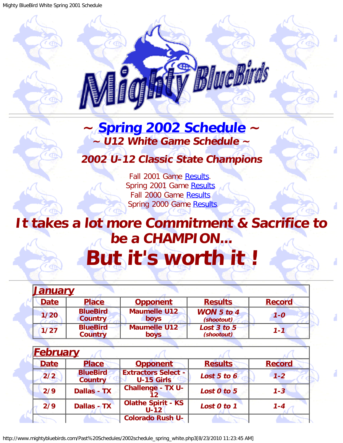

## <span id="page-0-1"></span>**~ [Spring 2002 Schedule](#page-0-0) ~ ~ U12 White Game Schedule ~**

## **2002 U-12 Classic State Champions**

Fall 2001 Game [Results](http://www.mightybluebirds.com/Past%20Schedules/2001schedule_fall_white.php3). Spring 2001 Game [Results.](http://www.mightybluebirds.com/Past%20Schedules/2001schedule_spring_white.php3) Fall 2000 Game [Results.](http://www.mightybluebirds.com/Past%20Schedules/2000schedule_fall_white.php3) Spring 2000 Game [Results.](http://www.mightybluebirds.com/Past%20Schedules/2000schedule_spring.php3)

## **It takes a lot more Commitment & Sacrifice to be a CHAMPION... But it's worth it !**

<span id="page-0-0"></span>

| <u>January</u> |                                   |                                    |                                 |               |
|----------------|-----------------------------------|------------------------------------|---------------------------------|---------------|
| <b>Date</b>    | <b>Place</b>                      | <b>Opponent</b>                    | <b>Results</b>                  | <b>Record</b> |
| 1/20           | <b>BlueBird</b><br><b>Country</b> | <b>Maumelle U12</b><br>boys        | <b>WON</b> 5 to 4<br>(shootout) | $1 - 0$       |
| 1/27           | <b>BlueBird</b><br><b>Country</b> | <b>Maumelle U12</b><br><b>boys</b> | Lost 3 to 5<br>(shootout)       | $1 - 1$       |

| <b>February</b> |                                   |                                                 |                |               |
|-----------------|-----------------------------------|-------------------------------------------------|----------------|---------------|
| <b>Date</b>     | <b>Place</b>                      | <b>Opponent</b>                                 | <b>Results</b> | <b>Record</b> |
| 2/2             | <b>BlueBird</b><br><b>Country</b> | <b>Extractors Select -</b><br><b>U-15 Girls</b> | Lost 5 to 6    | $1 - 2$       |
| 2/9             | <b>Dallas - TX</b>                | <b>Challenge - TX U-</b>                        | Lost 0 to 5    | $1 - 3$       |
| 2/9             | <b>Dallas - TX</b>                | <b>Olathe Spirit - KS</b><br>$U-12$             | Lost 0 to 1    | $1 - 4$       |
|                 |                                   | <b>Colorado Rush U-</b>                         |                |               |

http://www.mightybluebirds.com/Past%20Schedules/2002schedule\_spring\_white.php3[8/23/2010 11:23:45 AM]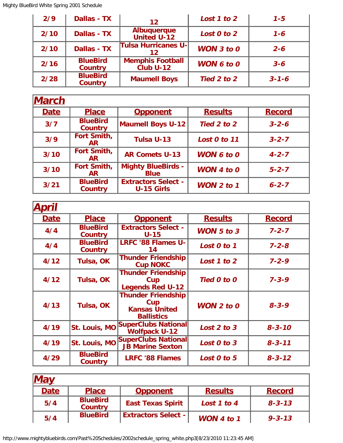| 2/9  | <b>Dallas - TX</b>                | 12                                       | Lost 1 to 2       | $1 - 5$     |
|------|-----------------------------------|------------------------------------------|-------------------|-------------|
| 2/10 | Dallas - TX                       | <b>Albuquerque</b><br><b>United U-12</b> | Lost 0 to 2       | $1 - 6$     |
| 2/10 | <b>Dallas - TX</b>                | <b>Tulsa Hurricanes U-</b><br>12         | WON $3$ to $0$    | $2 - 6$     |
| 2/16 | <b>BlueBird</b><br><b>Country</b> | <b>Memphis Football</b><br>Club U-12     | <b>WON 6 to 0</b> | $3 - 6$     |
| 2/28 | <b>BlueBird</b><br><b>Country</b> | <b>Maumell Boys</b>                      | Tied 2 to 2       | $3 - 1 - 6$ |

| <b>March</b> |                                   |                                                 |                   |               |
|--------------|-----------------------------------|-------------------------------------------------|-------------------|---------------|
| <b>Date</b>  | <b>Place</b>                      | <b>Opponent</b>                                 | <b>Results</b>    | <b>Record</b> |
| 3/7          | <b>BlueBird</b><br><b>Country</b> | <b>Maumell Boys U-12</b>                        | Tied 2 to 2       | $3 - 2 - 6$   |
| 3/9          | Fort Smith,<br>AR.                | Tulsa U-13                                      | Lost 0 to 11      | $3 - 2 - 7$   |
| 3/10         | Fort Smith,<br>AR.                | <b>AR Comets U-13</b>                           | <b>WON 6 to 0</b> | $4 - 2 - 7$   |
| 3/10         | Fort Smith,<br>AR.                | <b>Mighty BlueBirds -</b><br><b>Blue</b>        | WON 4 to $0$      | $5 - 2 - 7$   |
| 3/21         | <b>BlueBird</b><br><b>Country</b> | <b>Extractors Select -</b><br><b>U-15 Girls</b> | WON $2$ to $1$    | $6 - 2 - 7$   |

| pril        |                                   |                                                                               |                |               |
|-------------|-----------------------------------|-------------------------------------------------------------------------------|----------------|---------------|
| <b>Date</b> | <b>Place</b>                      | <b>Opponent</b>                                                               | <b>Results</b> | <b>Record</b> |
| 4/4         | <b>BlueBird</b><br><b>Country</b> | <b>Extractors Select -</b><br>$U-15$                                          | WON $5$ to $3$ | $7 - 2 - 7$   |
| 4/4         | <b>BlueBird</b><br>Country        | <b>LRFC '88 Flames U-</b><br>14                                               | Lost 0 to 1    | $7 - 2 - 8$   |
| 4/12        | Tulsa, OK                         | <b>Thunder Friendship</b><br><b>Cup NOKC</b>                                  | Lost 1 to 2    | $7 - 2 - 9$   |
| 4/12        | Tulsa, OK                         | <b>Thunder Friendship</b><br>Cup<br><b>Legends Red U-12</b>                   | Tied 0 to 0    | $7 - 3 - 9$   |
| 4/13        | Tulsa, OK                         | <b>Thunder Friendship</b><br>Cup<br><b>Kansas United</b><br><b>Ballistics</b> | WON $2$ to $0$ | $8 - 3 - 9$   |
| 4/19        |                                   | St. Louis, MO SuperClubs National<br><b>Wolfpack U-12</b>                     | Lost 2 to 3    | $8 - 3 - 10$  |
| 4/19        |                                   | St. Louis, MO SuperClubs National<br><b>JB Marine Sexton</b>                  | Lost 0 to 3    | $8 - 3 - 11$  |
| 4/29        | <b>BlueBird</b><br>Country        | <b>LRFC '88 Flames</b>                                                        | Lost 0 to 5    | $8 - 3 - 12$  |

| <b>May</b>  |                                   |                            |                |               |
|-------------|-----------------------------------|----------------------------|----------------|---------------|
| <b>Date</b> | <b>Place</b>                      | <b>Opponent</b>            | <b>Results</b> | <b>Record</b> |
| 5/4         | <b>BlueBird</b><br><b>Country</b> | <b>East Texas Spirit</b>   | Lost 1 to 4    | $8 - 3 - 13$  |
| 5/4         | <b>BlueBird</b>                   | <b>Extractors Select -</b> | WON 4 to 1     | $9 - 3 - 13$  |

http://www.mightybluebirds.com/Past%20Schedules/2002schedule\_spring\_white.php3[8/23/2010 11:23:45 AM]